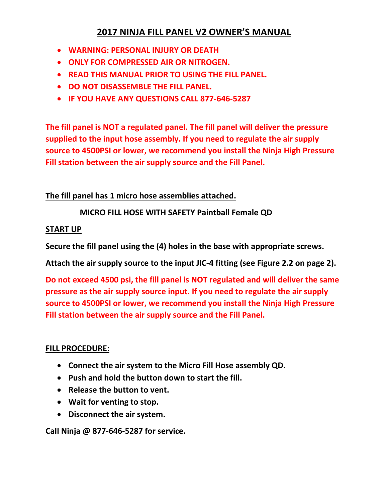# **2017 NINJA FILL PANEL V2 OWNER'S MANUAL**

- **WARNING: PERSONAL INJURY OR DEATH**
- **ONLY FOR COMPRESSED AIR OR NITROGEN.**
- **READ THIS MANUAL PRIOR TO USING THE FILL PANEL.**
- **DO NOT DISASSEMBLE THE FILL PANEL.**
- **IF YOU HAVE ANY QUESTIONS CALL 877-646-5287**

**The fill panel is NOT a regulated panel. The fill panel will deliver the pressure supplied to the input hose assembly. If you need to regulate the air supply source to 4500PSI or lower, we recommend you install the Ninja High Pressure Fill station between the air supply source and the Fill Panel.** 

## **The fill panel has 1 micro hose assemblies attached.**

# **MICRO FILL HOSE WITH SAFETY Paintball Female QD**

### **START UP**

**Secure the fill panel using the (4) holes in the base with appropriate screws.**

**Attach the air supply source to the input JIC-4 fitting (see Figure 2.2 on page 2).**

**Do not exceed 4500 psi, the fill panel is NOT regulated and will deliver the same pressure as the air supply source input. If you need to regulate the air supply source to 4500PSI or lower, we recommend you install the Ninja High Pressure Fill station between the air supply source and the Fill Panel.** 

### **FILL PROCEDURE:**

- **Connect the air system to the Micro Fill Hose assembly QD.**
- **Push and hold the button down to start the fill.**
- **Release the button to vent.**
- **Wait for venting to stop.**
- **Disconnect the air system.**

**Call Ninja @ 877-646-5287 for service.**